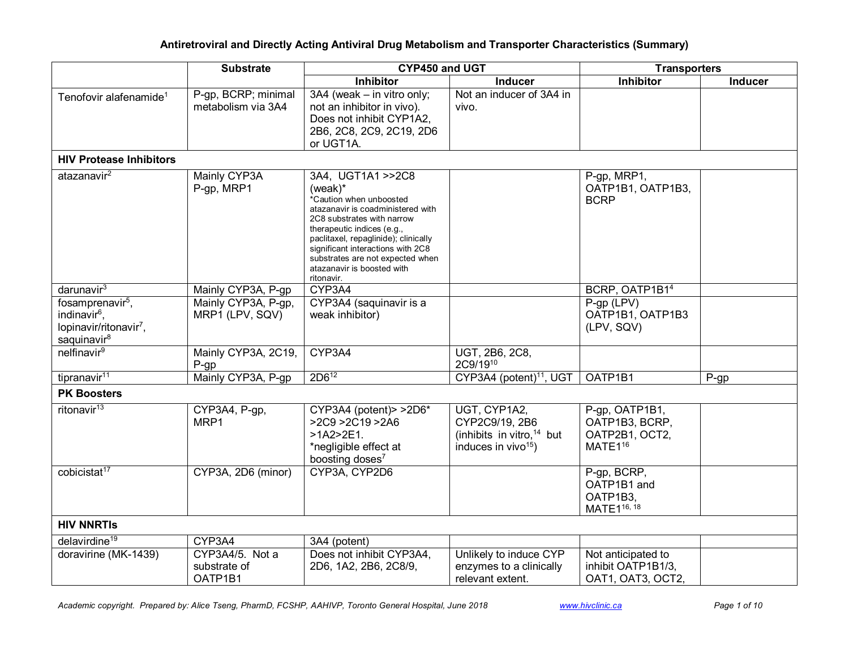|                                                                                                                           | <b>Substrate</b>                           | CYP450 and UGT                                                                                                                                                                                                                                                                                                        |                                                                                                            | <b>Transporters</b>                                                       |         |  |
|---------------------------------------------------------------------------------------------------------------------------|--------------------------------------------|-----------------------------------------------------------------------------------------------------------------------------------------------------------------------------------------------------------------------------------------------------------------------------------------------------------------------|------------------------------------------------------------------------------------------------------------|---------------------------------------------------------------------------|---------|--|
|                                                                                                                           |                                            | <b>Inhibitor</b>                                                                                                                                                                                                                                                                                                      | <b>Inducer</b>                                                                                             | <b>Inhibitor</b>                                                          | Inducer |  |
| Tenofovir alafenamide <sup>1</sup>                                                                                        | P-gp, BCRP; minimal<br>metabolism via 3A4  | 3A4 (weak - in vitro only;<br>not an inhibitor in vivo).<br>Does not inhibit CYP1A2,<br>2B6, 2C8, 2C9, 2C19, 2D6<br>or UGT1A.                                                                                                                                                                                         | Not an inducer of 3A4 in<br>vivo.                                                                          |                                                                           |         |  |
| <b>HIV Protease Inhibitors</b>                                                                                            |                                            |                                                                                                                                                                                                                                                                                                                       |                                                                                                            |                                                                           |         |  |
| atazanavir <sup>2</sup>                                                                                                   | Mainly CYP3A<br>P-gp, MRP1                 | 3A4, UGT1A1 >>2C8<br>(weak)*<br>*Caution when unboosted<br>atazanavir is coadministered with<br>2C8 substrates with narrow<br>therapeutic indices (e.g.,<br>paclitaxel, repaglinide); clinically<br>significant interactions with 2C8<br>substrates are not expected when<br>atazanavir is boosted with<br>ritonavir. |                                                                                                            | P-gp, MRP1,<br>OATP1B1, OATP1B3,<br><b>BCRP</b>                           |         |  |
| $d$ arunavir $3$                                                                                                          | Mainly CYP3A, P-gp                         | CYP3A4                                                                                                                                                                                                                                                                                                                |                                                                                                            | BCRP, OATP1B14                                                            |         |  |
| fosamprenavir <sup>5</sup> ,<br>indinavir <sup>6</sup> ,<br>lopinavir/ritonavir <sup>7</sup> ,<br>saquinavir <sup>8</sup> | Mainly CYP3A, P-gp,<br>MRP1 (LPV, SQV)     | CYP3A4 (saquinavir is a<br>weak inhibitor)                                                                                                                                                                                                                                                                            |                                                                                                            | $P-gp$ (LPV)<br>OATP1B1, OATP1B3<br>(LPV, SQV)                            |         |  |
| nelfinavir <sup>9</sup>                                                                                                   | Mainly CYP3A, 2C19,<br>$P-gp$              | CYP3A4                                                                                                                                                                                                                                                                                                                | UGT, 2B6, 2C8,<br>2C9/1910                                                                                 |                                                                           |         |  |
| tipranavir <sup>11</sup>                                                                                                  | Mainly CYP3A, P-gp                         | $2D6^{12}$                                                                                                                                                                                                                                                                                                            | CYP3A4 (potent) <sup>11</sup> , UGT                                                                        | OATP1B1                                                                   | $P-gp$  |  |
| <b>PK Boosters</b>                                                                                                        |                                            |                                                                                                                                                                                                                                                                                                                       |                                                                                                            |                                                                           |         |  |
| ritonavir <sup>13</sup>                                                                                                   | CYP3A4, P-gp,<br>MRP1                      | $CYP3A4$ (potent) > > $2D6*$<br>>2C9 >2C19 >2A6<br>$>1A2>2E1$ .<br>*negligible effect at<br>boosting doses <sup>7</sup>                                                                                                                                                                                               | UGT, CYP1A2,<br>CYP2C9/19, 2B6<br>(inhibits in vitro, <sup>14</sup> but<br>induces in vivo <sup>15</sup> ) | P-gp, OATP1B1,<br>OATP1B3, BCRP,<br>OATP2B1, OCT2,<br>MATE1 <sup>16</sup> |         |  |
| cobicistat <sup>17</sup>                                                                                                  | CYP3A, 2D6 (minor)                         | CYP3A, CYP2D6                                                                                                                                                                                                                                                                                                         |                                                                                                            | P-gp, BCRP,<br>OATP1B1 and<br>OATP1B3,<br>MATE116, 18                     |         |  |
| <b>HIV NNRTIS</b>                                                                                                         |                                            |                                                                                                                                                                                                                                                                                                                       |                                                                                                            |                                                                           |         |  |
| delavirdine <sup>19</sup>                                                                                                 | CYP3A4                                     | 3A4 (potent)                                                                                                                                                                                                                                                                                                          |                                                                                                            |                                                                           |         |  |
| doravirine (MK-1439)                                                                                                      | CYP3A4/5. Not a<br>substrate of<br>OATP1B1 | Does not inhibit CYP3A4,<br>2D6, 1A2, 2B6, 2C8/9,                                                                                                                                                                                                                                                                     | Unlikely to induce CYP<br>enzymes to a clinically<br>relevant extent.                                      | Not anticipated to<br>inhibit OATP1B1/3,<br>OAT1, OAT3, OCT2,             |         |  |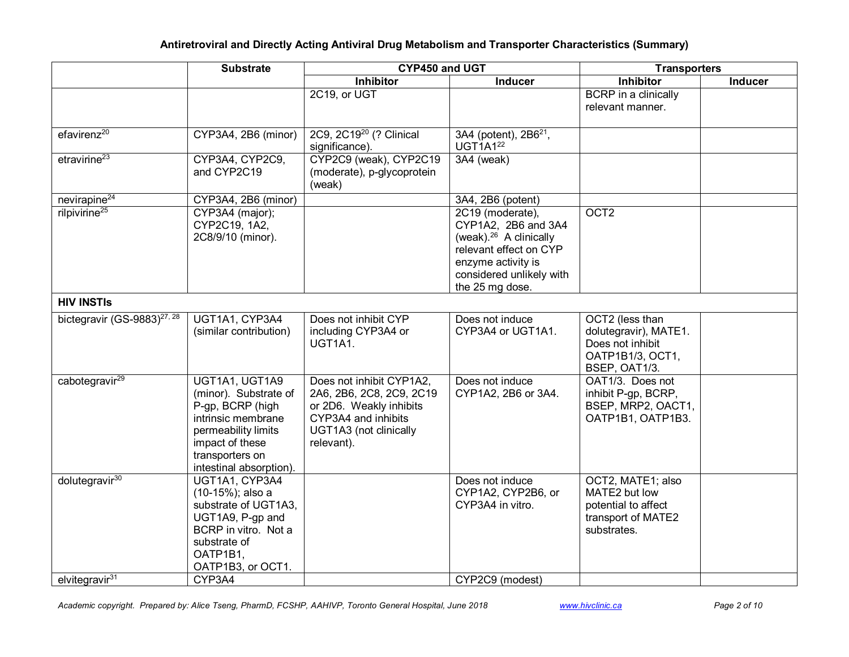|                                         | <b>Substrate</b>                                                                                                                                                          | CYP450 and UGT                                                                                                                                 |                                                                                                                                                                              | <b>Transporters</b>                                                                               |                |
|-----------------------------------------|---------------------------------------------------------------------------------------------------------------------------------------------------------------------------|------------------------------------------------------------------------------------------------------------------------------------------------|------------------------------------------------------------------------------------------------------------------------------------------------------------------------------|---------------------------------------------------------------------------------------------------|----------------|
|                                         |                                                                                                                                                                           | <b>Inhibitor</b>                                                                                                                               | <b>Inducer</b>                                                                                                                                                               | Inhibitor                                                                                         | <b>Inducer</b> |
|                                         |                                                                                                                                                                           | 2C19, or UGT                                                                                                                                   |                                                                                                                                                                              | BCRP in a clinically<br>relevant manner.                                                          |                |
| efavirenz <sup>20</sup>                 | CYP3A4, 2B6 (minor)                                                                                                                                                       | 2C9, 2C19 <sup>20</sup> (? Clinical<br>significance).                                                                                          | 3A4 (potent), 2B6 <sup>21</sup> ,<br>UGT1A1 <sup>22</sup>                                                                                                                    |                                                                                                   |                |
| etravirine <sup>23</sup>                | CYP3A4, CYP2C9,<br>and CYP2C19                                                                                                                                            | CYP2C9 (weak), CYP2C19<br>(moderate), p-glycoprotein<br>(weak)                                                                                 | 3A4 (weak)                                                                                                                                                                   |                                                                                                   |                |
| nevirapine <sup>24</sup>                | CYP3A4, 2B6 (minor)                                                                                                                                                       |                                                                                                                                                | 3A4, 2B6 (potent)                                                                                                                                                            |                                                                                                   |                |
| rilpivirine <sup>25</sup>               | CYP3A4 (major);<br>CYP2C19, 1A2,<br>2C8/9/10 (minor).                                                                                                                     |                                                                                                                                                | 2C19 (moderate),<br>CYP1A2, 2B6 and 3A4<br>(weak). <sup>26</sup> A clinically<br>relevant effect on CYP<br>enzyme activity is<br>considered unlikely with<br>the 25 mg dose. | OCT <sub>2</sub>                                                                                  |                |
| <b>HIV INSTIS</b>                       |                                                                                                                                                                           |                                                                                                                                                |                                                                                                                                                                              |                                                                                                   |                |
| bictegravir (GS-9883) <sup>27, 28</sup> | UGT1A1, CYP3A4<br>(similar contribution)                                                                                                                                  | Does not inhibit CYP<br>including CYP3A4 or<br>UGT1A1.                                                                                         | Does not induce<br>CYP3A4 or UGT1A1.                                                                                                                                         | OCT2 (less than<br>dolutegravir), MATE1.<br>Does not inhibit<br>OATP1B1/3, OCT1,<br>BSEP, OAT1/3. |                |
| cabotegravir <sup>29</sup>              | UGT1A1, UGT1A9<br>(minor). Substrate of<br>P-gp, BCRP (high<br>intrinsic membrane<br>permeability limits<br>impact of these<br>transporters on<br>intestinal absorption). | Does not inhibit CYP1A2,<br>2A6, 2B6, 2C8, 2C9, 2C19<br>or 2D6. Weakly inhibits<br>CYP3A4 and inhibits<br>UGT1A3 (not clinically<br>relevant). | Does not induce<br>CYP1A2, 2B6 or 3A4.                                                                                                                                       | OAT1/3. Does not<br>inhibit P-gp, BCRP,<br>BSEP, MRP2, OACT1,<br>OATP1B1, OATP1B3.                |                |
| dolutegravir <sup>30</sup>              | UGT1A1, CYP3A4<br>(10-15%); also a<br>substrate of UGT1A3,<br>UGT1A9, P-gp and<br>BCRP in vitro. Not a<br>substrate of<br>OATP1B1,<br>OATP1B3, or OCT1.                   |                                                                                                                                                | Does not induce<br>CYP1A2, CYP2B6, or<br>CYP3A4 in vitro.                                                                                                                    | OCT2, MATE1; also<br>MATE2 but low<br>potential to affect<br>transport of MATE2<br>substrates.    |                |
| elvitegravir <sup>31</sup>              | CYP3A4                                                                                                                                                                    |                                                                                                                                                | CYP2C9 (modest)                                                                                                                                                              |                                                                                                   |                |

Academic copyright. Prepared by: Alice Tseng, PharmD, FCSHP, AAHIVP, Toronto General Hospital, June 2018 www.hivclinic.ca Page 2 of 10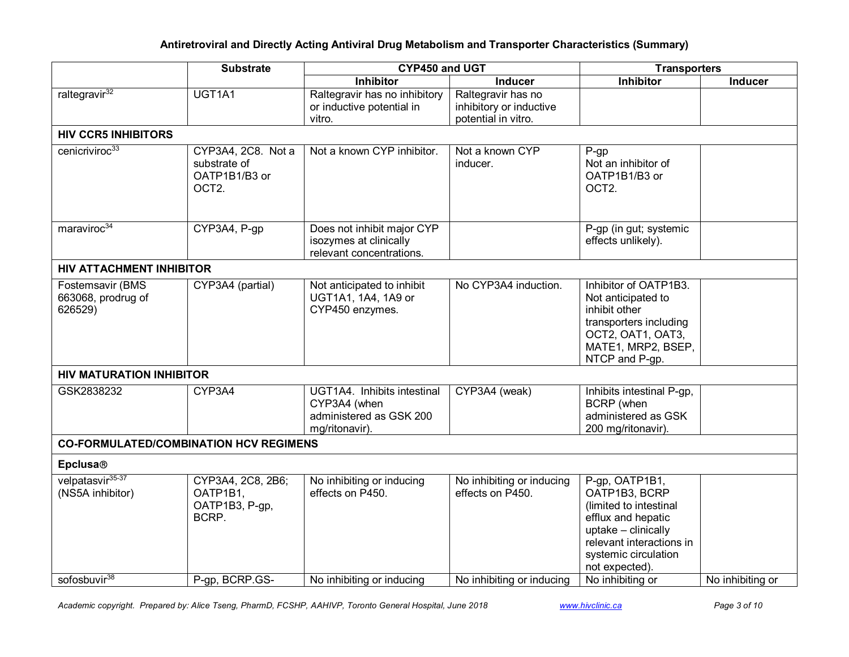|                                                   | <b>Substrate</b>                                                          | <b>CYP450 and UGT</b>                                                                    |                                                                      | <b>Transporters</b>                                                                                                                                                          |                  |  |
|---------------------------------------------------|---------------------------------------------------------------------------|------------------------------------------------------------------------------------------|----------------------------------------------------------------------|------------------------------------------------------------------------------------------------------------------------------------------------------------------------------|------------------|--|
|                                                   |                                                                           | <b>Inhibitor</b>                                                                         | <b>Inducer</b>                                                       | <b>Inhibitor</b>                                                                                                                                                             | <b>Inducer</b>   |  |
| raltegravir <sup>32</sup>                         | UGT1A1                                                                    | Raltegravir has no inhibitory<br>or inductive potential in<br>vitro.                     | Raltegravir has no<br>inhibitory or inductive<br>potential in vitro. |                                                                                                                                                                              |                  |  |
| <b>HIV CCR5 INHIBITORS</b>                        |                                                                           |                                                                                          |                                                                      |                                                                                                                                                                              |                  |  |
| cenicriviroc <sup>33</sup>                        | CYP3A4, 2C8. Not a<br>substrate of<br>OATP1B1/B3 or<br>OCT <sub>2</sub> . | Not a known CYP inhibitor.                                                               | Not a known CYP<br>inducer.                                          | $P-gp$<br>Not an inhibitor of<br>OATP1B1/B3 or<br>OCT <sub>2</sub> .                                                                                                         |                  |  |
| maraviroc <sup>34</sup>                           | CYP3A4, P-gp                                                              | Does not inhibit major CYP<br>isozymes at clinically<br>relevant concentrations.         |                                                                      | P-gp (in gut; systemic<br>effects unlikely).                                                                                                                                 |                  |  |
| <b>HIV ATTACHMENT INHIBITOR</b>                   |                                                                           |                                                                                          |                                                                      |                                                                                                                                                                              |                  |  |
| Fostemsavir (BMS<br>663068, prodrug of<br>626529) | CYP3A4 (partial)                                                          | Not anticipated to inhibit<br>UGT1A1, 1A4, 1A9 or<br>CYP450 enzymes.                     | No CYP3A4 induction.                                                 | Inhibitor of OATP1B3.<br>Not anticipated to<br>inhibit other<br>transporters including<br>OCT2, OAT1, OAT3,<br>MATE1, MRP2, BSEP,<br>NTCP and P-gp.                          |                  |  |
| <b>HIV MATURATION INHIBITOR</b>                   |                                                                           |                                                                                          |                                                                      |                                                                                                                                                                              |                  |  |
| GSK2838232                                        | CYP3A4                                                                    | UGT1A4. Inhibits intestinal<br>CYP3A4 (when<br>administered as GSK 200<br>mg/ritonavir). | CYP3A4 (weak)                                                        | Inhibits intestinal P-gp,<br><b>BCRP</b> (when<br>administered as GSK<br>200 mg/ritonavir).                                                                                  |                  |  |
| <b>CO-FORMULATED/COMBINATION HCV REGIMENS</b>     |                                                                           |                                                                                          |                                                                      |                                                                                                                                                                              |                  |  |
| <b>Epclusa®</b>                                   |                                                                           |                                                                                          |                                                                      |                                                                                                                                                                              |                  |  |
| velpatasvir <sup>35-37</sup><br>(NS5A inhibitor)  | CYP3A4, 2C8, 2B6;<br>OATP1B1,<br>OATP1B3, P-gp,<br>BCRP.                  | No inhibiting or inducing<br>effects on P450.                                            | No inhibiting or inducing<br>effects on P450.                        | P-gp, OATP1B1,<br>OATP1B3, BCRP<br>(limited to intestinal<br>efflux and hepatic<br>uptake - clinically<br>relevant interactions in<br>systemic circulation<br>not expected). |                  |  |
| sofosbuvir <sup>38</sup>                          | P-gp, BCRP.GS-                                                            | No inhibiting or inducing                                                                | No inhibiting or inducing                                            | No inhibiting or                                                                                                                                                             | No inhibiting or |  |

Academic copyright. Prepared by: Alice Tseng, PharmD, FCSHP, AAHIVP, Toronto General Hospital, June 2018 www.hivclinic.ca Page 3 of 10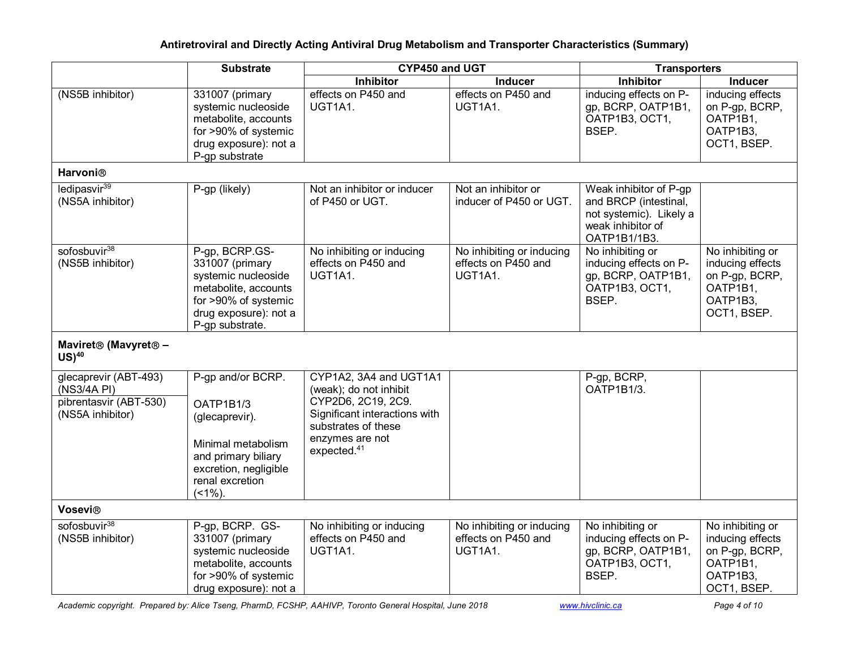|                                                                                    | <b>Substrate</b>                                                                                                                                     | CYP450 and UGT                                                                                                                                                               |                                                             | <b>Transporters</b>                                                                                             |                                                                                               |  |
|------------------------------------------------------------------------------------|------------------------------------------------------------------------------------------------------------------------------------------------------|------------------------------------------------------------------------------------------------------------------------------------------------------------------------------|-------------------------------------------------------------|-----------------------------------------------------------------------------------------------------------------|-----------------------------------------------------------------------------------------------|--|
|                                                                                    |                                                                                                                                                      | Inhibitor                                                                                                                                                                    | <b>Inducer</b>                                              | <b>Inhibitor</b>                                                                                                | <b>Inducer</b>                                                                                |  |
| (NS5B inhibitor)                                                                   | 331007 (primary<br>systemic nucleoside<br>metabolite, accounts<br>for >90% of systemic<br>drug exposure): not a<br>P-gp substrate                    | effects on P450 and<br>UGT1A1.                                                                                                                                               | effects on P450 and<br>UGT1A1.                              | inducing effects on P-<br>gp, BCRP, OATP1B1,<br>OATP1B3, OCT1,<br>BSEP.                                         | inducing effects<br>on P-gp, BCRP,<br>OATP1B1,<br>OATP1B3,<br>OCT1, BSEP.                     |  |
| Harvoni®                                                                           |                                                                                                                                                      |                                                                                                                                                                              |                                                             |                                                                                                                 |                                                                                               |  |
| ledipasvir <sup>39</sup><br>(NS5A inhibitor)                                       | P-gp (likely)                                                                                                                                        | Not an inhibitor or inducer<br>of P450 or UGT.                                                                                                                               | Not an inhibitor or<br>inducer of P450 or UGT.              | Weak inhibitor of P-gp<br>and BRCP (intestinal,<br>not systemic). Likely a<br>weak inhibitor of<br>OATP1B1/1B3. |                                                                                               |  |
| sofosbuvir <sup>38</sup><br>(NS5B inhibitor)                                       | P-gp, BCRP.GS-<br>331007 (primary<br>systemic nucleoside<br>metabolite, accounts<br>for >90% of systemic<br>drug exposure): not a<br>P-gp substrate. | No inhibiting or inducing<br>effects on P450 and<br>UGT1A1.                                                                                                                  | No inhibiting or inducing<br>effects on P450 and<br>UGT1A1. | No inhibiting or<br>inducing effects on P-<br>gp, BCRP, OATP1B1,<br>OATP1B3, OCT1,<br>BSEP.                     | No inhibiting or<br>inducing effects<br>on P-gp, BCRP,<br>OATP1B1,<br>OATP1B3,<br>OCT1, BSEP. |  |
| Maviret® (Mavyret® -<br>$US)^{40}$                                                 |                                                                                                                                                      |                                                                                                                                                                              |                                                             |                                                                                                                 |                                                                                               |  |
| glecaprevir (ABT-493)<br>(NS3/4A PI)<br>pibrentasvir (ABT-530)<br>(NS5A inhibitor) | P-gp and/or BCRP.<br>OATP1B1/3<br>(glecaprevir).<br>Minimal metabolism<br>and primary biliary<br>excretion, negligible<br>renal excretion<br>$(1\%)$ | CYP1A2, 3A4 and UGT1A1<br>(weak); do not inhibit<br>CYP2D6, 2C19, 2C9.<br>Significant interactions with<br>substrates of these<br>enzymes are not<br>expected. <sup>41</sup> |                                                             | P-gp, BCRP,<br>OATP1B1/3.                                                                                       |                                                                                               |  |
| Vosevi®                                                                            |                                                                                                                                                      |                                                                                                                                                                              |                                                             |                                                                                                                 |                                                                                               |  |
| sofosbuvir <sup>38</sup><br>(NS5B inhibitor)                                       | P-gp, BCRP. GS-<br>331007 (primary<br>systemic nucleoside<br>metabolite, accounts<br>for >90% of systemic<br>drug exposure): not a                   | No inhibiting or inducing<br>effects on P450 and<br>UGT1A1.                                                                                                                  | No inhibiting or inducing<br>effects on P450 and<br>UGT1A1. | No inhibiting or<br>inducing effects on P-<br>gp, BCRP, OATP1B1,<br>OATP1B3, OCT1,<br>BSEP.                     | No inhibiting or<br>inducing effects<br>on P-gp, BCRP,<br>OATP1B1,<br>OATP1B3,<br>OCT1, BSEP. |  |

Academic copyright. Prepared by: Alice Tseng, PharmD, FCSHP, AAHIVP, Toronto General Hospital, June 2018 www.hivclinic.ca Page 4 of 10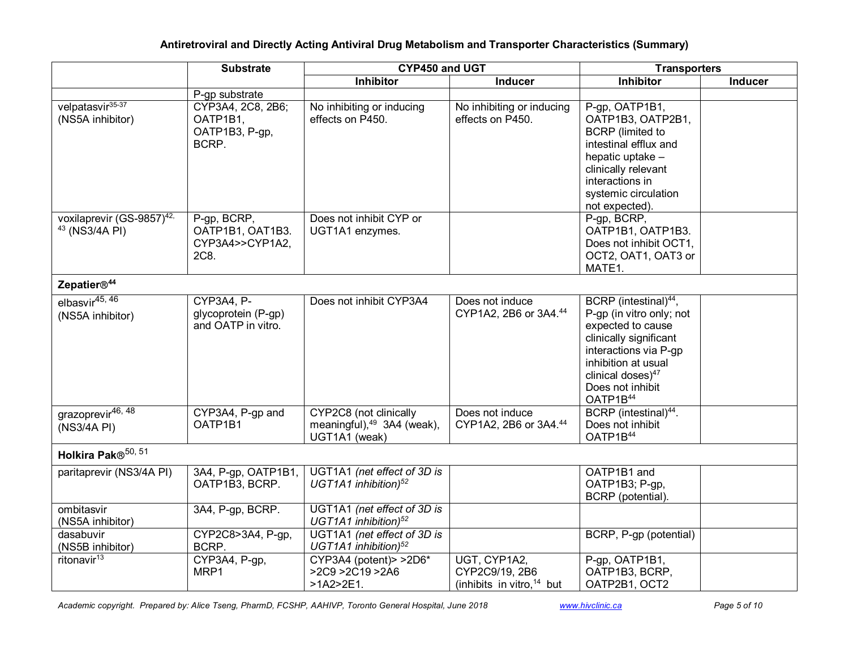|                                                                    | <b>Substrate</b>                                           | CYP450 and UGT                                                                    |                                                                | <b>Transporters</b>                                                                                                                                                                                                           |         |
|--------------------------------------------------------------------|------------------------------------------------------------|-----------------------------------------------------------------------------------|----------------------------------------------------------------|-------------------------------------------------------------------------------------------------------------------------------------------------------------------------------------------------------------------------------|---------|
|                                                                    |                                                            | Inhibitor                                                                         | <b>Inducer</b>                                                 | Inhibitor                                                                                                                                                                                                                     | Inducer |
|                                                                    | P-gp substrate                                             |                                                                                   |                                                                |                                                                                                                                                                                                                               |         |
| velpatasvir <sup>35-37</sup><br>(NS5A inhibitor)                   | CYP3A4, 2C8, 2B6;<br>OATP1B1,<br>OATP1B3, P-gp,<br>BCRP.   | No inhibiting or inducing<br>effects on P450.                                     | No inhibiting or inducing<br>effects on P450.                  | P-gp, OATP1B1,<br>OATP1B3, OATP2B1,<br><b>BCRP</b> (limited to<br>intestinal efflux and<br>hepatic uptake -<br>clinically relevant<br>interactions in<br>systemic circulation<br>not expected).                               |         |
| voxilaprevir (GS-9857) <sup>42,</sup><br><sup>43</sup> (NS3/4A PI) | P-gp, BCRP,<br>OATP1B1, OAT1B3.<br>CYP3A4>>CYP1A2,<br>2C8. | Does not inhibit CYP or<br>UGT1A1 enzymes.                                        |                                                                | P-gp, BCRP,<br>OATP1B1, OATP1B3.<br>Does not inhibit OCT1,<br>OCT2, OAT1, OAT3 or<br>MATE1.                                                                                                                                   |         |
| Zepatier® <sup>44</sup>                                            |                                                            |                                                                                   |                                                                |                                                                                                                                                                                                                               |         |
| elbasvir $45, 46$<br>(NS5A inhibitor)                              | $CYP3A4, P-$<br>glycoprotein (P-gp)<br>and OATP in vitro.  | Does not inhibit CYP3A4                                                           | Does not induce<br>CYP1A2, 2B6 or 3A4.44                       | BCRP (intestinal) <sup>44</sup> ,<br>P-gp (in vitro only; not<br>expected to cause<br>clinically significant<br>interactions via P-gp<br>inhibition at usual<br>clinical doses) <sup>47</sup><br>Does not inhibit<br>OATP1B44 |         |
| grazoprevir <sup>46, 48</sup><br>(NS3/4A PI)                       | CYP3A4, P-gp and<br>OATP1B1                                | CYP2C8 (not clinically<br>meaningful), <sup>49</sup> 3A4 (weak),<br>UGT1A1 (weak) | Does not induce<br>CYP1A2, 2B6 or 3A4.44                       | BCRP (intestinal) <sup>44</sup> .<br>Does not inhibit<br>OATP1B44                                                                                                                                                             |         |
| Holkira Pak® <sup>50, 51</sup>                                     |                                                            |                                                                                   |                                                                |                                                                                                                                                                                                                               |         |
| paritaprevir (NS3/4A PI)                                           | 3A4, P-gp, OATP1B1,<br>OATP1B3, BCRP.                      | UGT1A1 (net effect of 3D is<br>UGT1A1 inhibition) $52$                            |                                                                | OATP1B1 and<br>OATP1B3; P-gp,<br>BCRP (potential).                                                                                                                                                                            |         |
| ombitasvir<br>(NS5A inhibitor)                                     | 3A4, P-gp, BCRP.                                           | UGT1A1 (net effect of 3D is<br>UGT1A1 inhibition) <sup>52</sup>                   |                                                                |                                                                                                                                                                                                                               |         |
| dasabuvir<br>(NS5B inhibitor)                                      | CYP2C8>3A4, P-gp,<br>BCRP.                                 | UGT1A1 (net effect of 3D is<br>UGT1A1 inhibition) <sup>52</sup>                   |                                                                | BCRP, P-gp (potential)                                                                                                                                                                                                        |         |
| ritonavir $13$                                                     | CYP3A4, P-gp,<br>MRP1                                      | CYP3A4 (potent) > > 2D6*<br>>2C9 >2C19 >2A6<br>$>1A2>2E1$ .                       | UGT, CYP1A2,<br>CYP2C9/19, 2B6<br>(inhibits in vitro, $14$ but | P-gp, OATP1B1,<br>OATP1B3, BCRP,<br>OATP2B1, OCT2                                                                                                                                                                             |         |

Academic copyright. Prepared by: Alice Tseng, PharmD, FCSHP, AAHIVP, Toronto General Hospital, June 2018 www.hivclinic.ca Page 5 of 10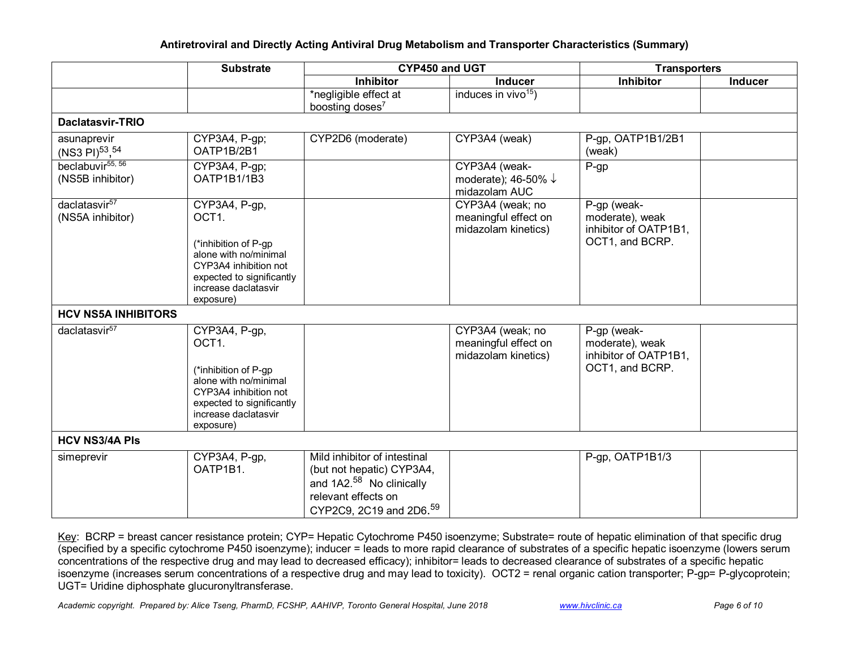|                                                  | <b>Substrate</b>                                                                                                                                                              | CYP450 and UGT                                                                                                                                                  |                                                                  | <b>Transporters</b>                                                        |                |  |
|--------------------------------------------------|-------------------------------------------------------------------------------------------------------------------------------------------------------------------------------|-----------------------------------------------------------------------------------------------------------------------------------------------------------------|------------------------------------------------------------------|----------------------------------------------------------------------------|----------------|--|
|                                                  |                                                                                                                                                                               | <b>Inhibitor</b>                                                                                                                                                | <b>Inducer</b>                                                   | <b>Inhibitor</b>                                                           | <b>Inducer</b> |  |
|                                                  |                                                                                                                                                                               | *negligible effect at                                                                                                                                           | induces in vivo <sup>15</sup> )                                  |                                                                            |                |  |
|                                                  |                                                                                                                                                                               | boosting doses <sup>7</sup>                                                                                                                                     |                                                                  |                                                                            |                |  |
| <b>Daclatasvir-TRIO</b>                          |                                                                                                                                                                               |                                                                                                                                                                 |                                                                  |                                                                            |                |  |
| asunaprevir<br>$(NS3 \text{ Pl})^{53}$ , 54      | CYP3A4, P-gp;<br>OATP1B/2B1                                                                                                                                                   | CYP2D6 (moderate)                                                                                                                                               | CYP3A4 (weak)                                                    | P-gp, OATP1B1/2B1<br>(weak)                                                |                |  |
| beclabuvir <sup>55, 56</sup><br>(NS5B inhibitor) | CYP3A4, P-gp;<br>OATP1B1/1B3                                                                                                                                                  |                                                                                                                                                                 | CYP3A4 (weak-<br>moderate); 46-50% $\downarrow$<br>midazolam AUC | $P-gp$                                                                     |                |  |
| daclatasvir <sup>57</sup><br>(NS5A inhibitor)    | CYP3A4, P-gp,<br>OCT1.<br>(*inhibition of P-gp<br>alone with no/minimal<br>CYP3A4 inhibition not<br>expected to significantly<br>increase daclatasvir<br>exposure)            |                                                                                                                                                                 | CYP3A4 (weak; no<br>meaningful effect on<br>midazolam kinetics)  | P-gp (weak-<br>moderate), weak<br>inhibitor of OATP1B1,<br>OCT1, and BCRP. |                |  |
| <b>HCV NS5A INHIBITORS</b>                       |                                                                                                                                                                               |                                                                                                                                                                 |                                                                  |                                                                            |                |  |
| daclatasvir <sup>57</sup>                        | CYP3A4, P-gp,<br>OCT <sub>1</sub><br>(*inhibition of P-gp<br>alone with no/minimal<br>CYP3A4 inhibition not<br>expected to significantly<br>increase daclatasvir<br>exposure) |                                                                                                                                                                 | CYP3A4 (weak; no<br>meaningful effect on<br>midazolam kinetics)  | P-gp (weak-<br>moderate), weak<br>inhibitor of OATP1B1,<br>OCT1, and BCRP. |                |  |
| <b>HCV NS3/4A PIs</b>                            |                                                                                                                                                                               |                                                                                                                                                                 |                                                                  |                                                                            |                |  |
| simeprevir                                       | CYP3A4, P-gp,<br>OATP1B1.                                                                                                                                                     | Mild inhibitor of intestinal<br>(but not hepatic) CYP3A4,<br>and 1A2. <sup>58</sup> No clinically<br>relevant effects on<br>CYP2C9, 2C19 and 2D6. <sup>59</sup> |                                                                  | P-gp, OATP1B1/3                                                            |                |  |

Key: BCRP = breast cancer resistance protein; CYP= Hepatic Cytochrome P450 isoenzyme; Substrate= route of hepatic elimination of that specific drug (specified by a specific cytochrome P450 isoenzyme); inducer = leads to more rapid clearance of substrates of a specific hepatic isoenzyme (lowers serum concentrations of the respective drug and may lead to decreased efficacy); inhibitor= leads to decreased clearance of substrates of a specific hepatic isoenzyme (increases serum concentrations of a respective drug and may lead to toxicity). OCT2 = renal organic cation transporter; P-gp= P-glycoprotein; UGT= Uridine diphosphate glucuronyltransferase.

Academic copyright. Prepared by: Alice Tseng, PharmD, FCSHP, AAHIVP, Toronto General Hospital, June 2018 www.hivclinic.ca Page 6 of 10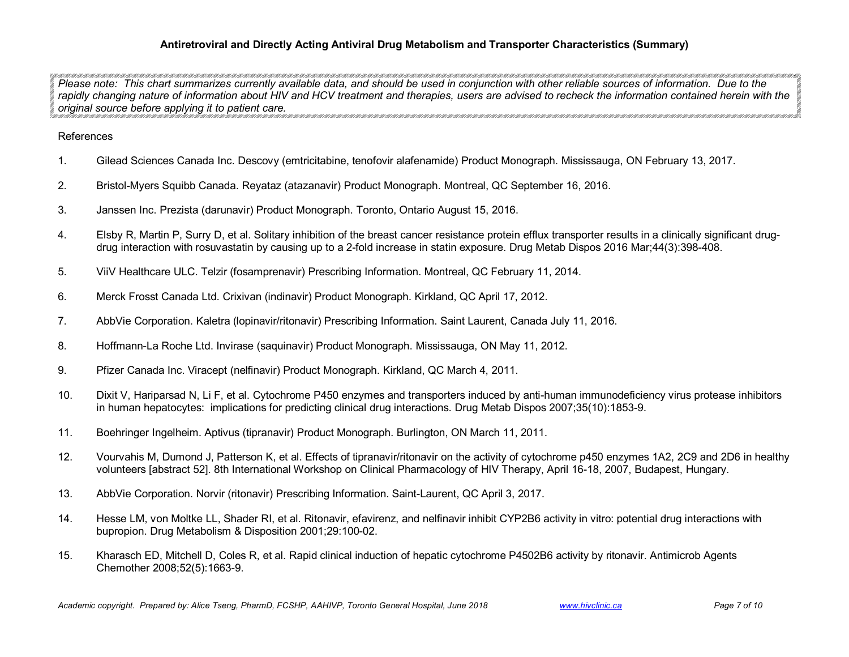*Please note:* This chart summarizes currently available data, and should be used in conjunction with other reliable sources of information. Due to the *rapidly changing nature of information about HIV and HCV treatment and therapies, users are advised to recheck the information contained herein with the original source before applying it to patient care.* 

### References

- 1. Gilead Sciences Canada Inc. Descovy (emtricitabine, tenofovir alafenamide) Product Monograph. Mississauga, ON February 13, 2017.
- 2. Bristol-Myers Squibb Canada. Reyataz (atazanavir) Product Monograph. Montreal, QC September 16, 2016.
- 3. Janssen Inc. Prezista (darunavir) Product Monograph. Toronto, Ontario August 15, 2016.
- 4. Elsby R, Martin P, Surry D, et al. Solitary inhibition of the breast cancer resistance protein efflux transporter results in a clinically significant drugdrug interaction with rosuvastatin by causing up to a 2-fold increase in statin exposure. Drug Metab Dispos 2016 Mar;44(3):398-408.
- 5. ViiV Healthcare ULC. Telzir (fosamprenavir) Prescribing Information. Montreal, QC February 11, 2014.
- 6. Merck Frosst Canada Ltd. Crixivan (indinavir) Product Monograph. Kirkland, QC April 17, 2012.
- 7. AbbVie Corporation. Kaletra (lopinavir/ritonavir) Prescribing Information. Saint Laurent, Canada July 11, 2016.
- 8. Hoffmann-La Roche Ltd. Invirase (saquinavir) Product Monograph. Mississauga, ON May 11, 2012.
- 9. Pfizer Canada Inc. Viracept (nelfinavir) Product Monograph. Kirkland, QC March 4, 2011.
- 10. Dixit V, Hariparsad N, Li F, et al. Cytochrome P450 enzymes and transporters induced by anti-human immunodeficiency virus protease inhibitors in human hepatocytes: implications for predicting clinical drug interactions. Drug Metab Dispos 2007;35(10):1853-9.
- 11. Boehringer Ingelheim. Aptivus (tipranavir) Product Monograph. Burlington, ON March 11, 2011.
- 12. Vourvahis M, Dumond J, Patterson K, et al. Effects of tipranavir/ritonavir on the activity of cytochrome p450 enzymes 1A2, 2C9 and 2D6 in healthy volunteers [abstract 52]. 8th International Workshop on Clinical Pharmacology of HIV Therapy, April 16-18, 2007, Budapest, Hungary.
- 13. AbbVie Corporation. Norvir (ritonavir) Prescribing Information. Saint-Laurent, QC April 3, 2017.
- 14. Hesse LM, von Moltke LL, Shader RI, et al. Ritonavir, efavirenz, and nelfinavir inhibit CYP2B6 activity in vitro: potential drug interactions with bupropion. Drug Metabolism & Disposition 2001;29:100-02.
- 15. Kharasch ED, Mitchell D, Coles R, et al. Rapid clinical induction of hepatic cytochrome P4502B6 activity by ritonavir. Antimicrob Agents Chemother 2008;52(5):1663-9.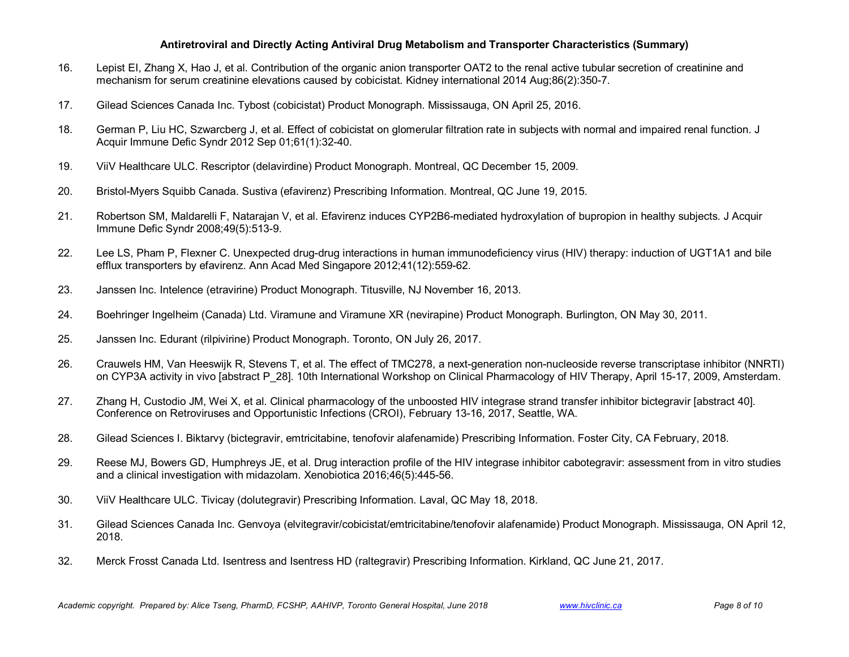- 16. Lepist EI, Zhang X, Hao J, et al. Contribution of the organic anion transporter OAT2 to the renal active tubular secretion of creatinine and mechanism for serum creatinine elevations caused by cobicistat. Kidney international 2014 Aug;86(2):350-7.
- 17. Gilead Sciences Canada Inc. Tybost (cobicistat) Product Monograph. Mississauga, ON April 25, 2016.
- 18. German P, Liu HC, Szwarcberg J, et al. Effect of cobicistat on glomerular filtration rate in subjects with normal and impaired renal function. J Acquir Immune Defic Syndr 2012 Sep 01;61(1):32-40.
- 19. ViiV Healthcare ULC. Rescriptor (delavirdine) Product Monograph. Montreal, QC December 15, 2009.
- 20. Bristol-Myers Squibb Canada. Sustiva (efavirenz) Prescribing Information. Montreal, QC June 19, 2015.
- 21. Robertson SM, Maldarelli F, Natarajan V, et al. Efavirenz induces CYP2B6-mediated hydroxylation of bupropion in healthy subjects. J Acquir Immune Defic Syndr 2008;49(5):513-9.
- 22. Lee LS, Pham P, Flexner C. Unexpected drug-drug interactions in human immunodeficiency virus (HIV) therapy: induction of UGT1A1 and bile efflux transporters by efavirenz. Ann Acad Med Singapore 2012;41(12):559-62.
- 23. Janssen Inc. Intelence (etravirine) Product Monograph. Titusville, NJ November 16, 2013.
- 24. Boehringer Ingelheim (Canada) Ltd. Viramune and Viramune XR (nevirapine) Product Monograph. Burlington, ON May 30, 2011.
- 25. Janssen Inc. Edurant (rilpivirine) Product Monograph. Toronto, ON July 26, 2017.
- 26. Crauwels HM, Van Heeswijk R, Stevens T, et al. The effect of TMC278, a next-generation non-nucleoside reverse transcriptase inhibitor (NNRTI) on CYP3A activity in vivo [abstract P\_28]. 10th International Workshop on Clinical Pharmacology of HIV Therapy, April 15-17, 2009, Amsterdam.
- 27. Zhang H, Custodio JM, Wei X, et al. Clinical pharmacology of the unboosted HIV integrase strand transfer inhibitor bictegravir [abstract 40]. Conference on Retroviruses and Opportunistic Infections (CROI), February 13-16, 2017, Seattle, WA.
- 28. Gilead Sciences I. Biktarvy (bictegravir, emtricitabine, tenofovir alafenamide) Prescribing Information. Foster City, CA February, 2018.
- 29. Reese MJ, Bowers GD, Humphreys JE, et al. Drug interaction profile of the HIV integrase inhibitor cabotegravir: assessment from in vitro studies and a clinical investigation with midazolam. Xenobiotica 2016;46(5):445-56.
- 30. ViiV Healthcare ULC. Tivicay (dolutegravir) Prescribing Information. Laval, QC May 18, 2018.
- 31. Gilead Sciences Canada Inc. Genvoya (elvitegravir/cobicistat/emtricitabine/tenofovir alafenamide) Product Monograph. Mississauga, ON April 12, 2018.
- 32. Merck Frosst Canada Ltd. Isentress and Isentress HD (raltegravir) Prescribing Information. Kirkland, QC June 21, 2017.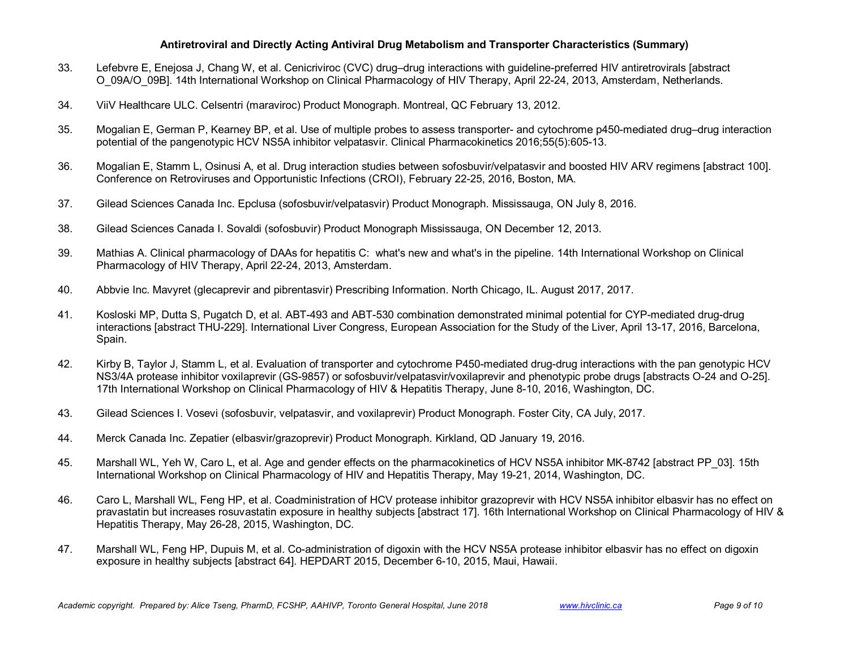- 33. Lefebvre E, Enejosa J, Chang W, et al. Cenicriviroc (CVC) drug–drug interactions with guideline-preferred HIV antiretrovirals [abstract O\_09A/O\_09B]. 14th International Workshop on Clinical Pharmacology of HIV Therapy, April 22-24, 2013, Amsterdam, Netherlands.
- 34. ViiV Healthcare ULC. Celsentri (maraviroc) Product Monograph. Montreal, QC February 13, 2012.
- 35. Mogalian E, German P, Kearney BP, et al. Use of multiple probes to assess transporter- and cytochrome p450-mediated drug–drug interaction potential of the pangenotypic HCV NS5A inhibitor velpatasvir. Clinical Pharmacokinetics 2016;55(5):605-13.
- 36. Mogalian E, Stamm L, Osinusi A, et al. Drug interaction studies between sofosbuvir/velpatasvir and boosted HIV ARV regimens [abstract 100]. Conference on Retroviruses and Opportunistic Infections (CROI), February 22-25, 2016, Boston, MA.
- 37. Gilead Sciences Canada Inc. Epclusa (sofosbuvir/velpatasvir) Product Monograph. Mississauga, ON July 8, 2016.
- 38. Gilead Sciences Canada I. Sovaldi (sofosbuvir) Product Monograph Mississauga, ON December 12, 2013.
- 39. Mathias A. Clinical pharmacology of DAAs for hepatitis C: what's new and what's in the pipeline. 14th International Workshop on Clinical Pharmacology of HIV Therapy, April 22-24, 2013, Amsterdam.
- 40. Abbvie Inc. Mavyret (glecaprevir and pibrentasvir) Prescribing Information. North Chicago, IL. August 2017, 2017.
- 41. Kosloski MP, Dutta S, Pugatch D, et al. ABT-493 and ABT-530 combination demonstrated minimal potential for CYP-mediated drug-drug interactions [abstract THU-229]. International Liver Congress, European Association for the Study of the Liver, April 13-17, 2016, Barcelona, Spain.
- 42. Kirby B, Taylor J, Stamm L, et al. Evaluation of transporter and cytochrome P450-mediated drug-drug interactions with the pan genotypic HCV NS3/4A protease inhibitor voxilaprevir (GS-9857) or sofosbuvir/velpatasvir/voxilaprevir and phenotypic probe drugs [abstracts O-24 and O-25]. 17th International Workshop on Clinical Pharmacology of HIV & Hepatitis Therapy, June 8-10, 2016, Washington, DC.
- 43. Gilead Sciences I. Vosevi (sofosbuvir, velpatasvir, and voxilaprevir) Product Monograph. Foster City, CA July, 2017.
- 44. Merck Canada Inc. Zepatier (elbasvir/grazoprevir) Product Monograph. Kirkland, QD January 19, 2016.
- 45. Marshall WL, Yeh W, Caro L, et al. Age and gender effects on the pharmacokinetics of HCV NS5A inhibitor MK-8742 [abstract PP\_03]. 15th International Workshop on Clinical Pharmacology of HIV and Hepatitis Therapy, May 19-21, 2014, Washington, DC.
- 46. Caro L, Marshall WL, Feng HP, et al. Coadministration of HCV protease inhibitor grazoprevir with HCV NS5A inhibitor elbasvir has no effect on pravastatin but increases rosuvastatin exposure in healthy subjects [abstract 17]. 16th International Workshop on Clinical Pharmacology of HIV & Hepatitis Therapy, May 26-28, 2015, Washington, DC.
- 47. Marshall WL, Feng HP, Dupuis M, et al. Co-administration of digoxin with the HCV NS5A protease inhibitor elbasvir has no effect on digoxin exposure in healthy subjects [abstract 64]. HEPDART 2015, December 6-10, 2015, Maui, Hawaii.